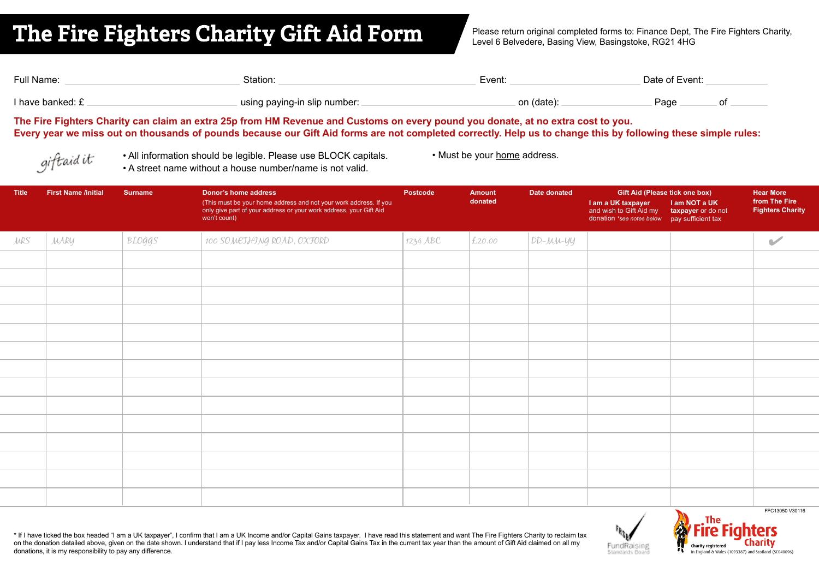## **The Fire Fighters Charity Gift Aid Form**

Please return original completed forms to: Finance Dept. The Fire Fighters Charity, Level 6 Belvedere, Basing View, Basingstoke, RG21 4HG

| Full Name:       | Station:                     | Event:     | Date of Event: |  |
|------------------|------------------------------|------------|----------------|--|
| I have banked: £ | using paying-in slip number: | on (date): | ⊃age           |  |

**The Fire Fighters Charity can claim an extra 25p from HM Revenue and Customs on every pound you donate, at no extra cost to you. Every year we miss out on thousands of pounds because our Gift Aid forms are not completed correctly. Help us to change this by following these simple rules:**

giftaid it

• All information should be legible. Please use BLOCK capitals. • Must be your home address. • A street name without a house number/name is not valid.

| <b>Title</b> | <b>First Name /initial</b> | <b>Surname</b> | Donor's home address<br>(This must be your home address and not your work address. If you<br>only give part of your address or your work address, your Gift Aid<br>won't count) | <b>Postcode</b> | Amount<br>donated | Date donated     | Gift Aid (Please tick one box)<br>I am a UK taxpayer<br>and wish to Gift Aid my<br>donation *see notes below | I am NOT a UK<br>taxpayer or do not<br>pay sufficient tax | <b>Hear More</b><br>from The Fire<br><b>Fighters Charity</b> |
|--------------|----------------------------|----------------|---------------------------------------------------------------------------------------------------------------------------------------------------------------------------------|-----------------|-------------------|------------------|--------------------------------------------------------------------------------------------------------------|-----------------------------------------------------------|--------------------------------------------------------------|
| <b>JURS</b>  | MARY                       | BLOGGS         | 100 SOMETHING ROAD, OXFORD                                                                                                                                                      | 1234 ABC        | £20.00            | $ DD-\mu\mu$ -yy |                                                                                                              |                                                           | $\blacktriangleright$                                        |
|              |                            |                |                                                                                                                                                                                 |                 |                   |                  |                                                                                                              |                                                           |                                                              |
|              |                            |                |                                                                                                                                                                                 |                 |                   |                  |                                                                                                              |                                                           |                                                              |
|              |                            |                |                                                                                                                                                                                 |                 |                   |                  |                                                                                                              |                                                           |                                                              |
|              |                            |                |                                                                                                                                                                                 |                 |                   |                  |                                                                                                              |                                                           |                                                              |
|              |                            |                |                                                                                                                                                                                 |                 |                   |                  |                                                                                                              |                                                           |                                                              |
|              |                            |                |                                                                                                                                                                                 |                 |                   |                  |                                                                                                              |                                                           |                                                              |
|              |                            |                |                                                                                                                                                                                 |                 |                   |                  |                                                                                                              |                                                           |                                                              |
|              |                            |                |                                                                                                                                                                                 |                 |                   |                  |                                                                                                              |                                                           |                                                              |
|              |                            |                |                                                                                                                                                                                 |                 |                   |                  |                                                                                                              |                                                           |                                                              |
|              |                            |                |                                                                                                                                                                                 |                 |                   |                  |                                                                                                              |                                                           |                                                              |
|              |                            |                |                                                                                                                                                                                 |                 |                   |                  |                                                                                                              |                                                           |                                                              |
|              |                            |                |                                                                                                                                                                                 |                 |                   |                  |                                                                                                              |                                                           |                                                              |
|              |                            |                |                                                                                                                                                                                 |                 |                   |                  |                                                                                                              |                                                           |                                                              |
|              |                            |                |                                                                                                                                                                                 |                 |                   |                  |                                                                                                              |                                                           |                                                              |
|              |                            |                |                                                                                                                                                                                 |                 |                   |                  |                                                                                                              | $\mathbf{X}$                                              | FFC13050 V30116                                              |

\* If I have ticked the box headed "I am a UK taxpayer", I confirm that I am a UK Income and/or Capital Gains taxpayer. I have read this statement and want The Fire Fighters Charity to reclaim tax on the donation detailed above, given on the date shown. I understand that if I pay less Income Tax and/or Capital Gains Tax in the current tax year than the amount of Gift Aid claimed on all my donations, it is my responsibility to pay any difference.